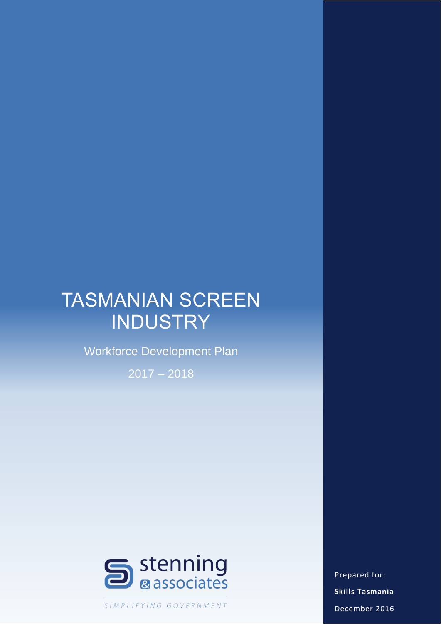# TASMANIAN SCREEN **INDUSTRY**

Workforce Development Plan

2017 – 2018



SIMPLIFYING GOVERNMENT

Prepared for: **Skills Tasmania** December 2016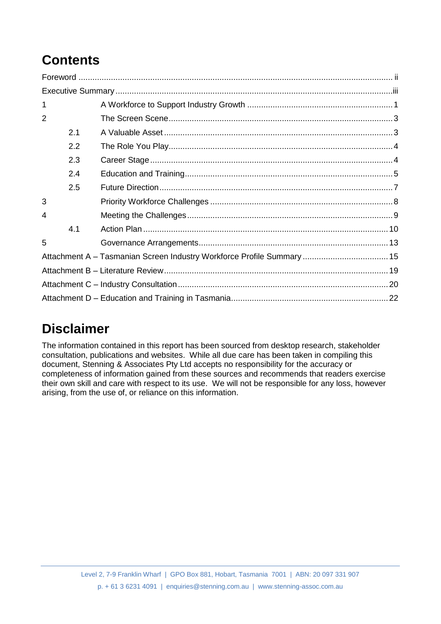## **Contents**

| 1              |     |  |
|----------------|-----|--|
| $\overline{2}$ |     |  |
|                | 2.1 |  |
|                | 2.2 |  |
|                | 2.3 |  |
|                | 2.4 |  |
|                | 2.5 |  |
| 3              |     |  |
| 4              |     |  |
|                | 4.1 |  |
| 5              |     |  |
|                |     |  |
|                |     |  |
|                |     |  |
|                |     |  |

## **Disclaimer**

The information contained in this report has been sourced from desktop research, stakeholder consultation, publications and websites. While all due care has been taken in compiling this document, Stenning & Associates Pty Ltd accepts no responsibility for the accuracy or completeness of information gained from these sources and recommends that readers exercise their own skill and care with respect to its use. We will not be responsible for any loss, however arising, from the use of, or reliance on this information.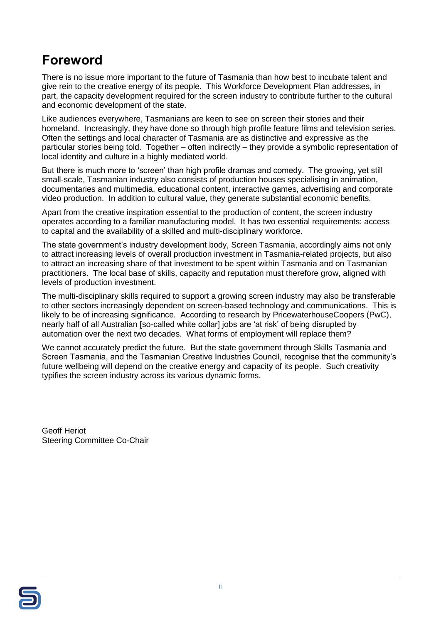### <span id="page-2-0"></span>**Foreword**

There is no issue more important to the future of Tasmania than how best to incubate talent and give rein to the creative energy of its people. This Workforce Development Plan addresses, in part, the capacity development required for the screen industry to contribute further to the cultural and economic development of the state.

Like audiences everywhere, Tasmanians are keen to see on screen their stories and their homeland. Increasingly, they have done so through high profile feature films and television series. Often the settings and local character of Tasmania are as distinctive and expressive as the particular stories being told. Together – often indirectly – they provide a symbolic representation of local identity and culture in a highly mediated world.

But there is much more to 'screen' than high profile dramas and comedy. The growing, yet still small-scale, Tasmanian industry also consists of production houses specialising in animation, documentaries and multimedia, educational content, interactive games, advertising and corporate video production. In addition to cultural value, they generate substantial economic benefits.

Apart from the creative inspiration essential to the production of content, the screen industry operates according to a familiar manufacturing model. It has two essential requirements: access to capital and the availability of a skilled and multi-disciplinary workforce.

The state government's industry development body, Screen Tasmania, accordingly aims not only to attract increasing levels of overall production investment in Tasmania-related projects, but also to attract an increasing share of that investment to be spent within Tasmania and on Tasmanian practitioners. The local base of skills, capacity and reputation must therefore grow, aligned with levels of production investment.

The multi-disciplinary skills required to support a growing screen industry may also be transferable to other sectors increasingly dependent on screen-based technology and communications. This is likely to be of increasing significance. According to research by PricewaterhouseCoopers (PwC), nearly half of all Australian [so-called white collar] jobs are 'at risk' of being disrupted by automation over the next two decades. What forms of employment will replace them?

We cannot accurately predict the future. But the state government through Skills Tasmania and Screen Tasmania, and the Tasmanian Creative Industries Council, recognise that the community's future wellbeing will depend on the creative energy and capacity of its people. Such creativity typifies the screen industry across its various dynamic forms.

Geoff Heriot Steering Committee Co-Chair

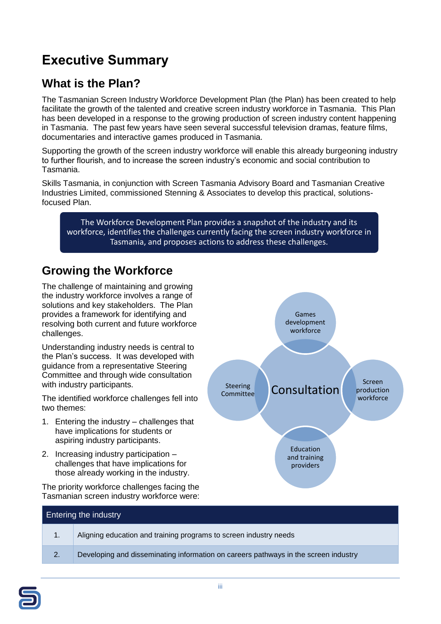## <span id="page-3-0"></span>**Executive Summary**

### **What is the Plan?**

The Tasmanian Screen Industry Workforce Development Plan (the Plan) has been created to help facilitate the growth of the talented and creative screen industry workforce in Tasmania. This Plan has been developed in a response to the growing production of screen industry content happening in Tasmania. The past few years have seen several successful television dramas, feature films, documentaries and interactive games produced in Tasmania.

Supporting the growth of the screen industry workforce will enable this already burgeoning industry to further flourish, and to increase the screen industry's economic and social contribution to Tasmania.

Skills Tasmania, in conjunction with Screen Tasmania Advisory Board and Tasmanian Creative Industries Limited, commissioned Stenning & Associates to develop this practical, solutionsfocused Plan.

The Workforce Development Plan provides a snapshot of the industry and its workforce, identifies the challenges currently facing the screen industry workforce in Tasmania, and proposes actions to address these challenges.

#### **Growing the Workforce**

The challenge of maintaining and growing the industry workforce involves a range of solutions and key stakeholders. The Plan provides a framework for identifying and resolving both current and future workforce challenges.

Understanding industry needs is central to the Plan's success. It was developed with guidance from a representative Steering Committee and through wide consultation with industry participants.

The identified workforce challenges fell into two themes:

- 1. Entering the industry challenges that have implications for students or aspiring industry participants.
- 2. Increasing industry participation challenges that have implications for those already working in the industry.

The priority workforce challenges facing the Tasmanian screen industry workforce were:



## Entering the industry 1. Aligning education and training programs to screen industry needs 2. Developing and disseminating information on careers pathways in the screen industry

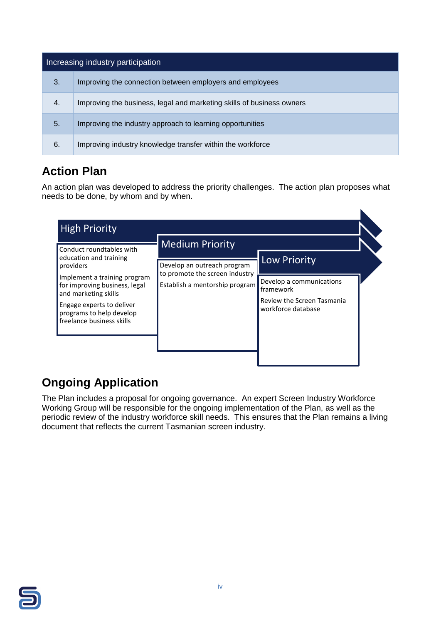| Increasing industry participation |                                                                       |  |  |
|-----------------------------------|-----------------------------------------------------------------------|--|--|
| 3.                                | Improving the connection between employers and employees              |  |  |
| 4.                                | Improving the business, legal and marketing skills of business owners |  |  |
| 5.                                | Improving the industry approach to learning opportunities             |  |  |
| 6.                                | Improving industry knowledge transfer within the workforce            |  |  |

### **Action Plan**

An action plan was developed to address the priority challenges. The action plan proposes what needs to be done, by whom and by when.

 $\blacktriangle$ 

| <b>High Priority</b>                                                                                                                                                        |                                                                       |                                                                                           |  |
|-----------------------------------------------------------------------------------------------------------------------------------------------------------------------------|-----------------------------------------------------------------------|-------------------------------------------------------------------------------------------|--|
| Conduct roundtables with<br>education and training<br>providers                                                                                                             | <b>Medium Priority</b><br>Low Priority<br>Develop an outreach program |                                                                                           |  |
| Implement a training program<br>for improving business, legal<br>and marketing skills<br>Engage experts to deliver<br>programs to help develop<br>freelance business skills | to promote the screen industry<br>Establish a mentorship program      | Develop a communications<br>framework<br>Review the Screen Tasmania<br>workforce database |  |
|                                                                                                                                                                             |                                                                       |                                                                                           |  |

### **Ongoing Application**

The Plan includes a proposal for ongoing governance. An expert Screen Industry Workforce Working Group will be responsible for the ongoing implementation of the Plan, as well as the periodic review of the industry workforce skill needs. This ensures that the Plan remains a living document that reflects the current Tasmanian screen industry.

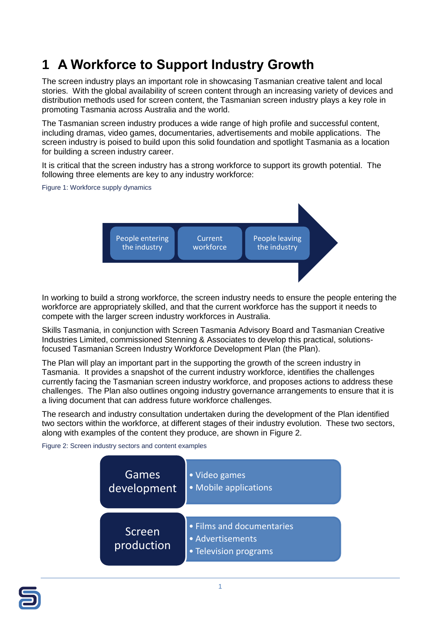## <span id="page-5-0"></span>**1 A Workforce to Support Industry Growth**

The screen industry plays an important role in showcasing Tasmanian creative talent and local stories. With the global availability of screen content through an increasing variety of devices and distribution methods used for screen content, the Tasmanian screen industry plays a key role in promoting Tasmania across Australia and the world.

The Tasmanian screen industry produces a wide range of high profile and successful content, including dramas, video games, documentaries, advertisements and mobile applications. The screen industry is poised to build upon this solid foundation and spotlight Tasmania as a location for building a screen industry career.

It is critical that the screen industry has a strong workforce to support its growth potential. The following three elements are key to any industry workforce:

Figure 1: Workforce supply dynamics



In working to build a strong workforce, the screen industry needs to ensure the people entering the workforce are appropriately skilled, and that the current workforce has the support it needs to compete with the larger screen industry workforces in Australia.

Skills Tasmania, in conjunction with Screen Tasmania Advisory Board and Tasmanian Creative Industries Limited, commissioned Stenning & Associates to develop this practical, solutionsfocused Tasmanian Screen Industry Workforce Development Plan (the Plan).

The Plan will play an important part in the supporting the growth of the screen industry in Tasmania. It provides a snapshot of the current industry workforce, identifies the challenges currently facing the Tasmanian screen industry workforce, and proposes actions to address these challenges. The Plan also outlines ongoing industry governance arrangements to ensure that it is a living document that can address future workforce challenges.

The research and industry consultation undertaken during the development of the Plan identified two sectors within the workforce, at different stages of their industry evolution. These two sectors, along with examples of the content they produce, are shown in [Figure 2.](#page-5-1)

<span id="page-5-1"></span>Figure 2: Screen industry sectors and content examples



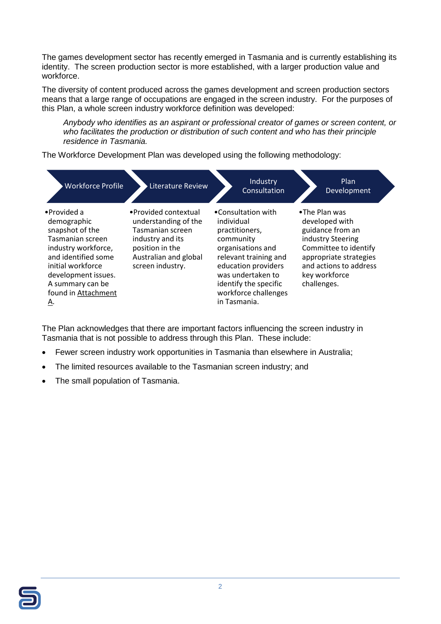The games development sector has recently emerged in Tasmania and is currently establishing its identity. The screen production sector is more established, with a larger production value and workforce.

The diversity of content produced across the games development and screen production sectors means that a large range of occupations are engaged in the screen industry. For the purposes of this Plan, a whole screen industry workforce definition was developed:

*Anybody who identifies as an aspirant or professional creator of games or screen content, or who facilitates the production or distribution of such content and who has their principle residence in Tasmania.*

The Workforce Development Plan was developed using the following methodology:

| <b>Workforce Profile</b>                                                                                                                                                                                     | <b>Literature Review</b>                                                                                                                              | Industry<br>Consultation                                                                                                                                                                                                   | Plan<br>Development                                                                                                                                                                   |
|--------------------------------------------------------------------------------------------------------------------------------------------------------------------------------------------------------------|-------------------------------------------------------------------------------------------------------------------------------------------------------|----------------------------------------------------------------------------------------------------------------------------------------------------------------------------------------------------------------------------|---------------------------------------------------------------------------------------------------------------------------------------------------------------------------------------|
| •Provided a<br>demographic<br>snapshot of the<br>Tasmanian screen<br>industry workforce,<br>and identified some<br>initial workforce<br>development issues.<br>A summary can be<br>found in Attachment<br>Α. | • Provided contextual<br>understanding of the<br>Tasmanian screen<br>industry and its<br>position in the<br>Australian and global<br>screen industry. | •Consultation with<br>individual<br>practitioners,<br>community<br>organisations and<br>relevant training and<br>education providers<br>was undertaken to<br>identify the specific<br>workforce challenges<br>in Tasmania. | •The Plan was<br>developed with<br>guidance from an<br>industry Steering<br>Committee to identify<br>appropriate strategies<br>and actions to address<br>key workforce<br>challenges. |

The Plan acknowledges that there are important factors influencing the screen industry in Tasmania that is not possible to address through this Plan. These include:

- Fewer screen industry work opportunities in Tasmania than elsewhere in Australia;
- The limited resources available to the Tasmanian screen industry; and
- The small population of Tasmania.

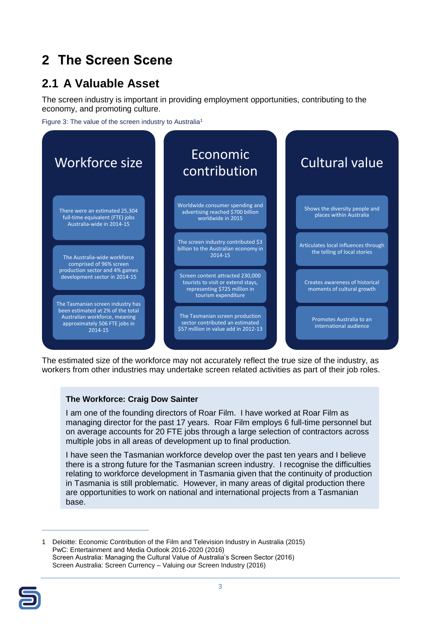## <span id="page-7-0"></span>**2 The Screen Scene**

### <span id="page-7-1"></span>**2.1 A Valuable Asset**

The screen industry is important in providing employment opportunities, contributing to the economy, and promoting culture.

Figure 3: The value of the screen industry to Australia<sup>1</sup>



The estimated size of the workforce may not accurately reflect the true size of the industry, as workers from other industries may undertake screen related activities as part of their job roles.

#### **The Workforce: Craig Dow Sainter**

I am one of the founding directors of Roar Film. I have worked at Roar Film as managing director for the past 17 years. Roar Film employs 6 full-time personnel but on average accounts for 20 FTE jobs through a large selection of contractors across multiple jobs in all areas of development up to final production.

I have seen the Tasmanian workforce develop over the past ten years and I believe there is a strong future for the Tasmanian screen industry. I recognise the difficulties relating to workforce development in Tasmania given that the continuity of production in Tasmania is still problematic. However, in many areas of digital production there are opportunities to work on national and international projects from a Tasmanian base.

1 Deloitte: Economic Contribution of the Film and Television Industry in Australia (2015) PwC: Entertainment and Media Outlook 2016-2020 (2016) Screen Australia: Managing the Cultural Value of Australia's Screen Sector (2016) Screen Australia: Screen Currency – Valuing our Screen Industry (2016)



 $\overline{a}$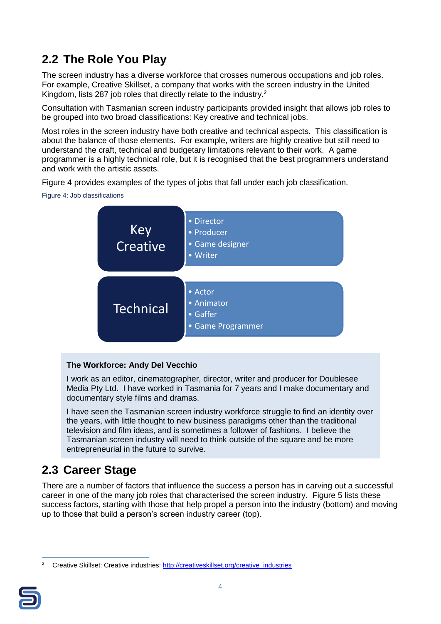### <span id="page-8-0"></span>**2.2 The Role You Play**

The screen industry has a diverse workforce that crosses numerous occupations and job roles. For example, Creative Skillset, a company that works with the screen industry in the United Kingdom, lists 287 job roles that directly relate to the industry.<sup>2</sup>

Consultation with Tasmanian screen industry participants provided insight that allows job roles to be grouped into two broad classifications: Key creative and technical jobs.

Most roles in the screen industry have both creative and technical aspects. This classification is about the balance of those elements. For example, writers are highly creative but still need to understand the craft, technical and budgetary limitations relevant to their work. A game programmer is a highly technical role, but it is recognised that the best programmers understand and work with the artistic assets.

[Figure 4](#page-8-2) provides examples of the types of jobs that fall under each job classification.

<span id="page-8-2"></span>Figure 4: Job classifications



#### **The Workforce: Andy Del Vecchio**

I work as an editor, cinematographer, director, writer and producer for Doublesee Media Pty Ltd. I have worked in Tasmania for 7 years and I make documentary and documentary style films and dramas.

I have seen the Tasmanian screen industry workforce struggle to find an identity over the years, with little thought to new business paradigms other than the traditional television and film ideas, and is sometimes a follower of fashions. I believe the Tasmanian screen industry will need to think outside of the square and be more entrepreneurial in the future to survive.

### <span id="page-8-1"></span>**2.3 Career Stage**

There are a number of factors that influence the success a person has in carving out a successful career in one of the many job roles that characterised the screen industry. [Figure 5](#page-9-1) lists these success factors, starting with those that help propel a person into the industry (bottom) and moving up to those that build a person's screen industry career (top).

 $\overline{a}$ <sup>2</sup> Creative Skillset: Creative industries: [http://creativeskillset.org/creative\\_industries](http://creativeskillset.org/creative_industries)

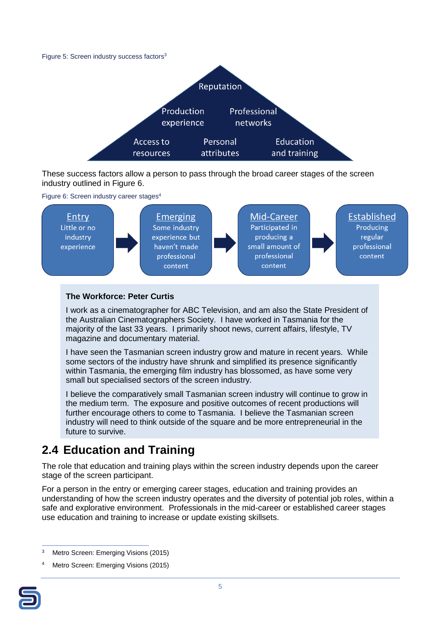<span id="page-9-1"></span>



These success factors allow a person to pass through the broad career stages of the screen industry outlined in [Figure 6.](#page-9-2)

<span id="page-9-2"></span>

#### **The Workforce: Peter Curtis**

I work as a cinematographer for ABC Television, and am also the State President of the Australian Cinematographers Society. I have worked in Tasmania for the majority of the last 33 years. I primarily shoot news, current affairs, lifestyle, TV magazine and documentary material.

I have seen the Tasmanian screen industry grow and mature in recent years. While some sectors of the industry have shrunk and simplified its presence significantly within Tasmania, the emerging film industry has blossomed, as have some very small but specialised sectors of the screen industry.

I believe the comparatively small Tasmanian screen industry will continue to grow in the medium term. The exposure and positive outcomes of recent productions will further encourage others to come to Tasmania. I believe the Tasmanian screen industry will need to think outside of the square and be more entrepreneurial in the future to survive.

### <span id="page-9-0"></span>**2.4 Education and Training**

The role that education and training plays within the screen industry depends upon the career stage of the screen participant.

For a person in the entry or emerging career stages, education and training provides an understanding of how the screen industry operates and the diversity of potential job roles, within a safe and explorative environment. Professionals in the mid-career or established career stages use education and training to increase or update existing skillsets.

Metro Screen: Emerging Visions (2015)



 $\overline{a}$ Metro Screen: Emerging Visions (2015)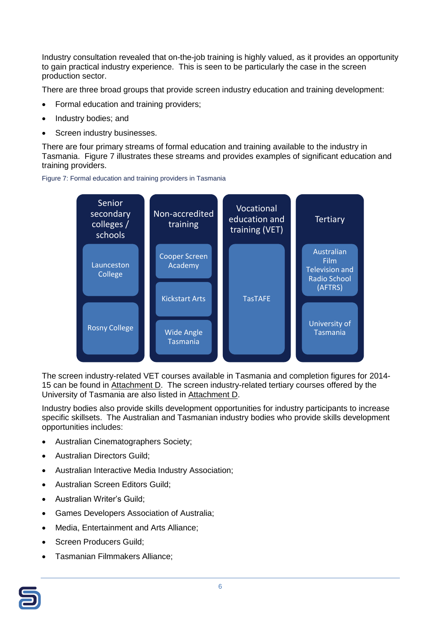Industry consultation revealed that on-the-job training is highly valued, as it provides an opportunity to gain practical industry experience. This is seen to be particularly the case in the screen production sector.

There are three broad groups that provide screen industry education and training development:

- Formal education and training providers;
- Industry bodies; and
- Screen industry businesses.

There are four primary streams of formal education and training available to the industry in Tasmania. [Figure 7](#page-10-0) illustrates these streams and provides examples of significant education and training providers.

<span id="page-10-0"></span>



The screen industry-related VET courses available in Tasmania and completion figures for 2014- 15 can be found in Attachment D. The screen industry-related tertiary courses offered by the University of Tasmania are also listed in Attachment D.

Industry bodies also provide skills development opportunities for industry participants to increase specific skillsets. The Australian and Tasmanian industry bodies who provide skills development opportunities includes:

- Australian Cinematographers Society;
- Australian Directors Guild;
- Australian Interactive Media Industry Association;
- Australian Screen Editors Guild;
- Australian Writer's Guild;
- Games Developers Association of Australia;
- Media, Entertainment and Arts Alliance;
- Screen Producers Guild;
- Tasmanian Filmmakers Alliance:

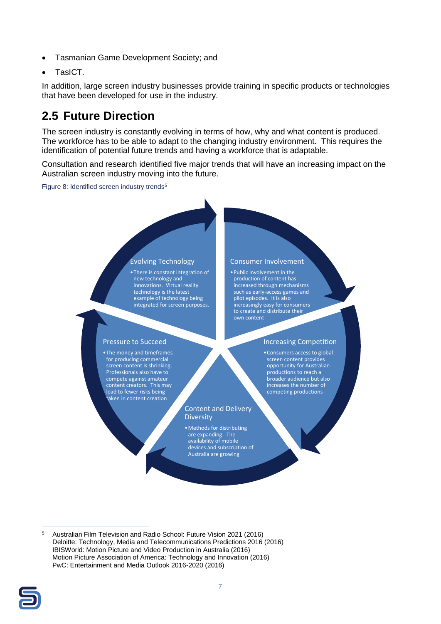- Tasmanian Game Development Society; and
- TasICT.

In addition, large screen industry businesses provide training in specific products or technologies that have been developed for use in the industry.

### <span id="page-11-0"></span>**2.5 Future Direction**

The screen industry is constantly evolving in terms of how, why and what content is produced. The workforce has to be able to adapt to the changing industry environment. This requires the identification of potential future trends and having a workforce that is adaptable.

Consultation and research identified five major trends that will have an increasing impact on the Australian screen industry moving into the future.

Figure 8: Identified screen industry trends<sup>5</sup>

#### Evolving Technology

•There is constant integration of new technology and innovations. Virtual reality technology is the latest example of technology being integrated for screen purposes.

#### Pressure to Succeed

•The money and timeframes for producing commercial screen content is shrinking. Professionals also have to compete against amateur content creators. This may lead to fewer risks being taken in content creation

#### Consumer Involvement

•Public involvement in the production of content has increased through mechanisms such as early-access games and pilot episodes. It is also increasingly easy for consumers to create and distribute their own content

#### Increasing Competition

•Consumers access to global screen content provides opportunity for Australian productions to reach a broader audience but also increases the number of competing productions

#### Content and Delivery **Diversity**

•Methods for distributing are expanding. The availability of mobile devices and subscription of Australia are growing

 $\overline{5}$ <sup>5</sup> Australian Film Television and Radio School: Future Vision 2021 (2016) Deloitte: Technology, Media and Telecommunications Predictions 2016 (2016) IBISWorld: Motion Picture and Video Production in Australia (2016) Motion Picture Association of America: Technology and Innovation (2016) PwC: Entertainment and Media Outlook 2016-2020 (2016)

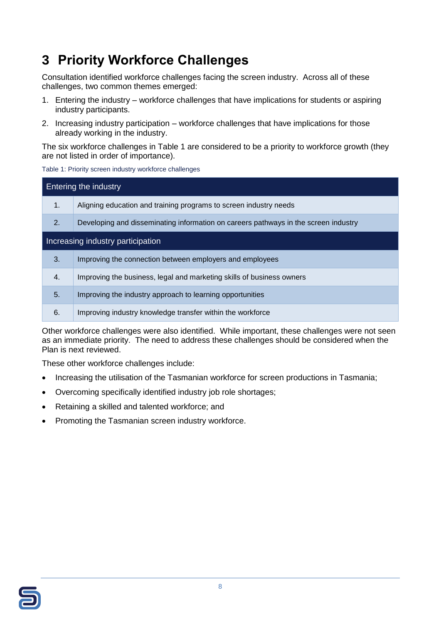## <span id="page-12-0"></span>**3 Priority Workforce Challenges**

Consultation identified workforce challenges facing the screen industry. Across all of these challenges, two common themes emerged:

- 1. Entering the industry workforce challenges that have implications for students or aspiring industry participants.
- 2. Increasing industry participation workforce challenges that have implications for those already working in the industry.

The six workforce challenges in [Table 1](#page-12-1) are considered to be a priority to workforce growth (they are not listed in order of importance).

<span id="page-12-1"></span>Table 1: Priority screen industry workforce challenges

| <b>Entering the industry</b>      |                                                                                     |  |  |
|-----------------------------------|-------------------------------------------------------------------------------------|--|--|
| 1.                                | Aligning education and training programs to screen industry needs                   |  |  |
| 2.                                | Developing and disseminating information on careers pathways in the screen industry |  |  |
| Increasing industry participation |                                                                                     |  |  |
| 3.                                | Improving the connection between employers and employees                            |  |  |
| 4.                                | Improving the business, legal and marketing skills of business owners               |  |  |
| 5.                                | Improving the industry approach to learning opportunities                           |  |  |
| 6.                                | Improving industry knowledge transfer within the workforce                          |  |  |

Other workforce challenges were also identified. While important, these challenges were not seen as an immediate priority. The need to address these challenges should be considered when the Plan is next reviewed.

These other workforce challenges include:

- Increasing the utilisation of the Tasmanian workforce for screen productions in Tasmania;
- Overcoming specifically identified industry job role shortages;
- Retaining a skilled and talented workforce; and
- Promoting the Tasmanian screen industry workforce.

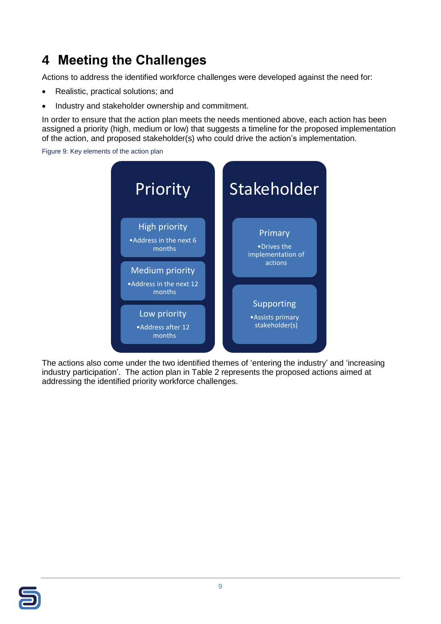## <span id="page-13-0"></span>**4 Meeting the Challenges**

Actions to address the identified workforce challenges were developed against the need for:

- Realistic, practical solutions; and
- Industry and stakeholder ownership and commitment.

In order to ensure that the action plan meets the needs mentioned above, each action has been assigned a priority (high, medium or low) that suggests a timeline for the proposed implementation of the action, and proposed stakeholder(s) who could drive the action's implementation.

Figure 9: Key elements of the action plan



The actions also come under the two identified themes of 'entering the industry' and 'increasing industry participation'. The action plan in [Table 2](#page-14-1) represents the proposed actions aimed at addressing the identified priority workforce challenges.

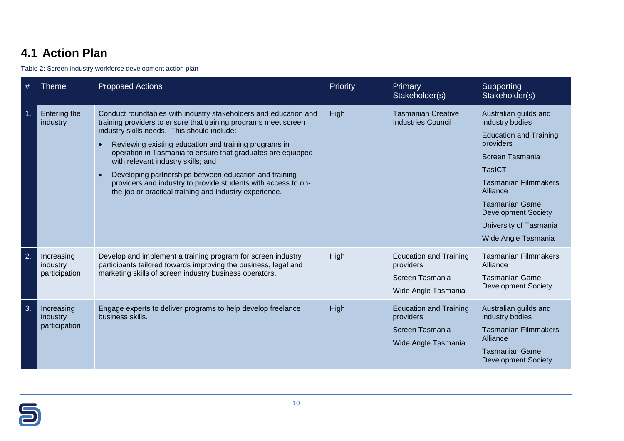### **4.1 Action Plan**

Table 2: Screen industry workforce development action plan

<span id="page-14-0"></span>

| #  | <b>Theme</b>                            | <b>Proposed Actions</b>                                                                                                                                                                                                                                                                                                                                                                                                                                                                                                               | Priority | Primary<br>Stakeholder(s)                                                            | Supporting<br>Stakeholder(s)                                                                                                                                                                                                                                                  |
|----|-----------------------------------------|---------------------------------------------------------------------------------------------------------------------------------------------------------------------------------------------------------------------------------------------------------------------------------------------------------------------------------------------------------------------------------------------------------------------------------------------------------------------------------------------------------------------------------------|----------|--------------------------------------------------------------------------------------|-------------------------------------------------------------------------------------------------------------------------------------------------------------------------------------------------------------------------------------------------------------------------------|
| 1. | Entering the<br>industry                | Conduct roundtables with industry stakeholders and education and<br>training providers to ensure that training programs meet screen<br>industry skills needs. This should include:<br>Reviewing existing education and training programs in<br>operation in Tasmania to ensure that graduates are equipped<br>with relevant industry skills; and<br>Developing partnerships between education and training<br>providers and industry to provide students with access to on-<br>the-job or practical training and industry experience. | High     | <b>Tasmanian Creative</b><br><b>Industries Council</b>                               | Australian guilds and<br>industry bodies<br><b>Education and Training</b><br>providers<br>Screen Tasmania<br><b>TasICT</b><br><b>Tasmanian Filmmakers</b><br>Alliance<br><b>Tasmanian Game</b><br><b>Development Society</b><br>University of Tasmania<br>Wide Angle Tasmania |
| 2. | Increasing<br>industry<br>participation | Develop and implement a training program for screen industry<br>participants tailored towards improving the business, legal and<br>marketing skills of screen industry business operators.                                                                                                                                                                                                                                                                                                                                            | High     | <b>Education and Training</b><br>providers<br>Screen Tasmania<br>Wide Angle Tasmania | <b>Tasmanian Filmmakers</b><br>Alliance<br><b>Tasmanian Game</b><br><b>Development Society</b>                                                                                                                                                                                |
| 3. | Increasing<br>industry<br>participation | Engage experts to deliver programs to help develop freelance<br>business skills.                                                                                                                                                                                                                                                                                                                                                                                                                                                      | High     | <b>Education and Training</b><br>providers<br>Screen Tasmania<br>Wide Angle Tasmania | Australian guilds and<br>industry bodies<br><b>Tasmanian Filmmakers</b><br>Alliance<br><b>Tasmanian Game</b><br><b>Development Society</b>                                                                                                                                    |

<span id="page-14-1"></span>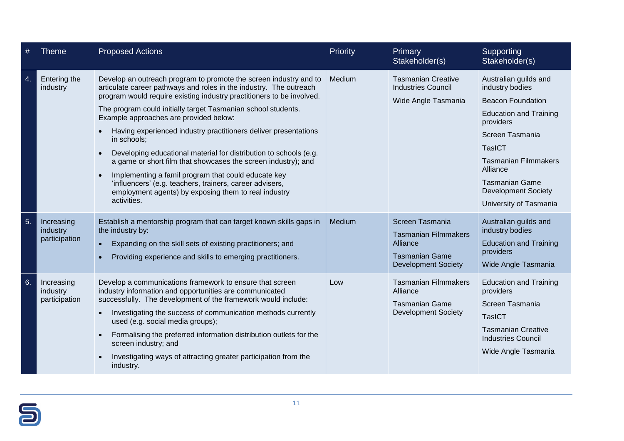| #  | Theme                                   | <b>Proposed Actions</b>                                                                                                                                                                                                                                                                                                                                                                                                                                                                                                                                                                                                                                                                                                                                                 | Priority | <b>Primary</b><br>Stakeholder(s)                                                                                  | Supporting<br>Stakeholder(s)                                                                                                                                                                                                                                                       |
|----|-----------------------------------------|-------------------------------------------------------------------------------------------------------------------------------------------------------------------------------------------------------------------------------------------------------------------------------------------------------------------------------------------------------------------------------------------------------------------------------------------------------------------------------------------------------------------------------------------------------------------------------------------------------------------------------------------------------------------------------------------------------------------------------------------------------------------------|----------|-------------------------------------------------------------------------------------------------------------------|------------------------------------------------------------------------------------------------------------------------------------------------------------------------------------------------------------------------------------------------------------------------------------|
| 4. | Entering the<br>industry                | Develop an outreach program to promote the screen industry and to<br>articulate career pathways and roles in the industry. The outreach<br>program would require existing industry practitioners to be involved.<br>The program could initially target Tasmanian school students.<br>Example approaches are provided below:<br>Having experienced industry practitioners deliver presentations<br>in schools;<br>Developing educational material for distribution to schools (e.g.<br>$\bullet$<br>a game or short film that showcases the screen industry); and<br>Implementing a famil program that could educate key<br>$\bullet$<br>'influencers' (e.g. teachers, trainers, career advisers,<br>employment agents) by exposing them to real industry<br>activities. | Medium   | <b>Tasmanian Creative</b><br><b>Industries Council</b><br>Wide Angle Tasmania                                     | Australian guilds and<br>industry bodies<br><b>Beacon Foundation</b><br><b>Education and Training</b><br>providers<br>Screen Tasmania<br><b>TasICT</b><br><b>Tasmanian Filmmakers</b><br>Alliance<br><b>Tasmanian Game</b><br><b>Development Society</b><br>University of Tasmania |
| 5. | Increasing<br>industry<br>participation | Establish a mentorship program that can target known skills gaps in<br>the industry by:<br>Expanding on the skill sets of existing practitioners; and<br>$\bullet$<br>Providing experience and skills to emerging practitioners.<br>$\bullet$                                                                                                                                                                                                                                                                                                                                                                                                                                                                                                                           | Medium   | Screen Tasmania<br><b>Tasmanian Filmmakers</b><br>Alliance<br><b>Tasmanian Game</b><br><b>Development Society</b> | Australian guilds and<br>industry bodies<br><b>Education and Training</b><br>providers<br>Wide Angle Tasmania                                                                                                                                                                      |
| 6. | Increasing<br>industry<br>participation | Develop a communications framework to ensure that screen<br>industry information and opportunities are communicated<br>successfully. The development of the framework would include:<br>Investigating the success of communication methods currently<br>$\bullet$<br>used (e.g. social media groups);<br>Formalising the preferred information distribution outlets for the<br>$\bullet$<br>screen industry; and<br>Investigating ways of attracting greater participation from the<br>industry.                                                                                                                                                                                                                                                                        | Low      | <b>Tasmanian Filmmakers</b><br>Alliance<br><b>Tasmanian Game</b><br><b>Development Society</b>                    | <b>Education and Training</b><br>providers<br>Screen Tasmania<br><b>TasICT</b><br><b>Tasmanian Creative</b><br><b>Industries Council</b><br>Wide Angle Tasmania                                                                                                                    |

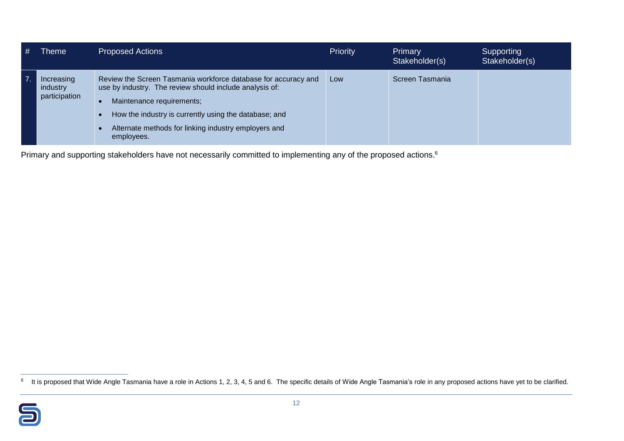| #                | <b>Theme</b>                            | <b>Proposed Actions</b>                                                                                                                                                                                                                                                               | Priority | Primary<br>Stakeholder(s) | Supporting<br>Stakeholder(s) |
|------------------|-----------------------------------------|---------------------------------------------------------------------------------------------------------------------------------------------------------------------------------------------------------------------------------------------------------------------------------------|----------|---------------------------|------------------------------|
| $\overline{7}$ . | Increasing<br>industry<br>participation | Review the Screen Tasmania workforce database for accuracy and<br>use by industry. The review should include analysis of:<br>Maintenance requirements;<br>How the industry is currently using the database; and<br>Alternate methods for linking industry employers and<br>employees. | Low      | Screen Tasmania           |                              |

Primary and supporting stakeholders have not necessarily committed to implementing any of the proposed actions.<sup>6</sup>

<sup>&</sup>lt;u>come that wide angle Tasmania have a role in Actions 1, 2, 3, 4, 5 and 6. The specific details of Wide Angle Tasmania's role in any proposed actions have yet to be clarified.<br><sup>6</sup> It is proposed that Wide Angle Tasmania ha</u>

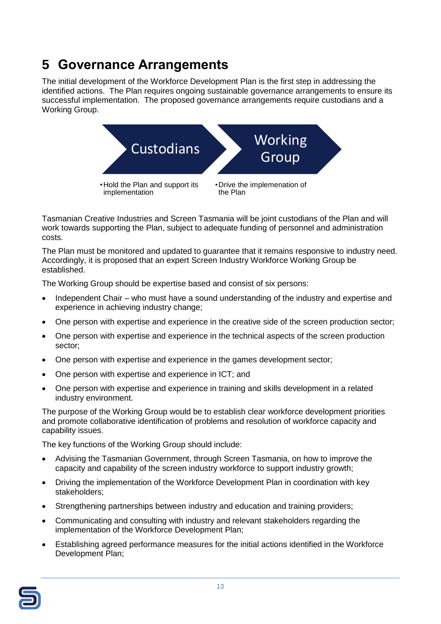## <span id="page-17-0"></span>**5 Governance Arrangements**

The initial development of the Workforce Development Plan is the first step in addressing the identified actions. The Plan requires ongoing sustainable governance arrangements to ensure its successful implementation. The proposed governance arrangements require custodians and a Working Group.



Tasmanian Creative Industries and Screen Tasmania will be joint custodians of the Plan and will work towards supporting the Plan, subject to adequate funding of personnel and administration costs.

The Plan must be monitored and updated to guarantee that it remains responsive to industry need. Accordingly, it is proposed that an expert Screen Industry Workforce Working Group be established.

The Working Group should be expertise based and consist of six persons:

- Independent Chair who must have a sound understanding of the industry and expertise and experience in achieving industry change;
- One person with expertise and experience in the creative side of the screen production sector;
- One person with expertise and experience in the technical aspects of the screen production sector;
- One person with expertise and experience in the games development sector;
- One person with expertise and experience in ICT; and
- One person with expertise and experience in training and skills development in a related industry environment.

The purpose of the Working Group would be to establish clear workforce development priorities and promote collaborative identification of problems and resolution of workforce capacity and capability issues.

The key functions of the Working Group should include:

- Advising the Tasmanian Government, through Screen Tasmania, on how to improve the capacity and capability of the screen industry workforce to support industry growth;
- Driving the implementation of the Workforce Development Plan in coordination with key stakeholders;
- Strengthening partnerships between industry and education and training providers;
- Communicating and consulting with industry and relevant stakeholders regarding the implementation of the Workforce Development Plan;
- Establishing agreed performance measures for the initial actions identified in the Workforce Development Plan;

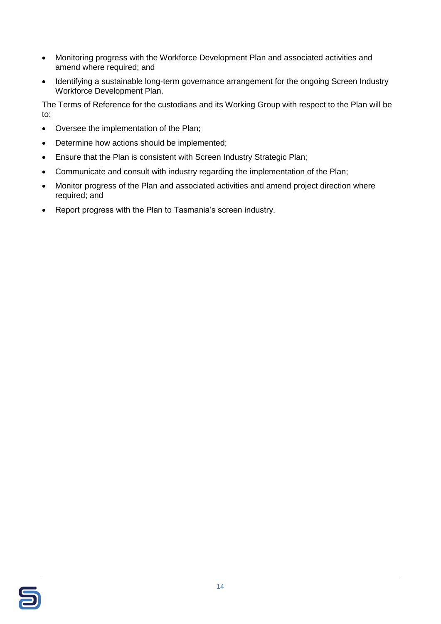- Monitoring progress with the Workforce Development Plan and associated activities and amend where required; and
- Identifying a sustainable long-term governance arrangement for the ongoing Screen Industry Workforce Development Plan.

The Terms of Reference for the custodians and its Working Group with respect to the Plan will be to:

- Oversee the implementation of the Plan;
- Determine how actions should be implemented;
- Ensure that the Plan is consistent with Screen Industry Strategic Plan;
- Communicate and consult with industry regarding the implementation of the Plan;
- Monitor progress of the Plan and associated activities and amend project direction where required; and
- Report progress with the Plan to Tasmania's screen industry.

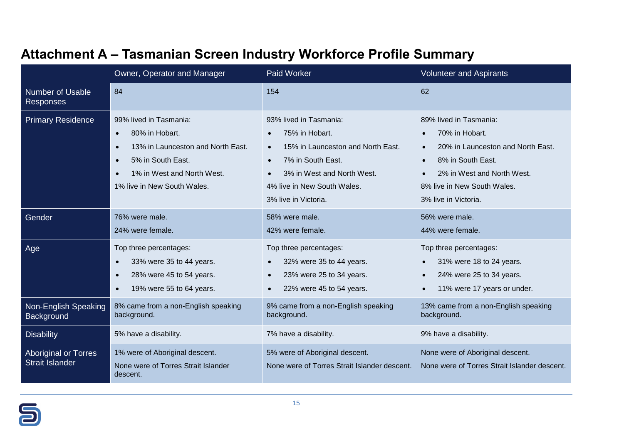<span id="page-19-0"></span>

|                                                       | Owner, Operator and Manager                                                                                                                                                                                         | Paid Worker                                                                                                                                                                                                                    | <b>Volunteer and Aspirants</b>                                                                                                                                                          |
|-------------------------------------------------------|---------------------------------------------------------------------------------------------------------------------------------------------------------------------------------------------------------------------|--------------------------------------------------------------------------------------------------------------------------------------------------------------------------------------------------------------------------------|-----------------------------------------------------------------------------------------------------------------------------------------------------------------------------------------|
| <b>Number of Usable</b><br><b>Responses</b>           | 84                                                                                                                                                                                                                  | 154                                                                                                                                                                                                                            | 62                                                                                                                                                                                      |
| <b>Primary Residence</b>                              | 99% lived in Tasmania:<br>80% in Hobart.<br>$\bullet$<br>13% in Launceston and North East.<br>$\bullet$<br>5% in South East.<br>$\bullet$<br>1% in West and North West.<br>$\bullet$<br>1% live in New South Wales. | 93% lived in Tasmania:<br>75% in Hobart.<br>15% in Launceston and North East.<br>$\bullet$<br>7% in South East.<br>$\bullet$<br>3% in West and North West.<br>$\bullet$<br>4% live in New South Wales.<br>3% live in Victoria. | 89% lived in Tasmania:<br>70% in Hobart.<br>20% in Launceston and North East.<br>8% in South East.<br>2% in West and North West.<br>8% live in New South Wales.<br>3% live in Victoria. |
| Gender                                                | 76% were male.<br>24% were female.                                                                                                                                                                                  | 58% were male.<br>42% were female.                                                                                                                                                                                             | 56% were male.<br>44% were female.                                                                                                                                                      |
| Age                                                   | Top three percentages:<br>33% were 35 to 44 years.<br>$\bullet$<br>28% were 45 to 54 years.<br>$\bullet$<br>19% were 55 to 64 years.<br>$\bullet$                                                                   | Top three percentages:<br>32% were 35 to 44 years.<br>$\bullet$<br>23% were 25 to 34 years.<br>$\bullet$<br>22% were 45 to 54 years.                                                                                           | Top three percentages:<br>31% were 18 to 24 years.<br>24% were 25 to 34 years.<br>11% were 17 years or under.<br>$\bullet$                                                              |
| <b>Non-English Speaking</b><br>Background             | 8% came from a non-English speaking<br>background.                                                                                                                                                                  | 9% came from a non-English speaking<br>background.                                                                                                                                                                             | 13% came from a non-English speaking<br>background.                                                                                                                                     |
| <b>Disability</b>                                     | 5% have a disability.                                                                                                                                                                                               | 7% have a disability.                                                                                                                                                                                                          | 9% have a disability.                                                                                                                                                                   |
| <b>Aboriginal or Torres</b><br><b>Strait Islander</b> | 1% were of Aboriginal descent.<br>None were of Torres Strait Islander<br>descent.                                                                                                                                   | 5% were of Aboriginal descent.<br>None were of Torres Strait Islander descent.                                                                                                                                                 | None were of Aboriginal descent.<br>None were of Torres Strait Islander descent.                                                                                                        |

## **Attachment A – Tasmanian Screen Industry Workforce Profile Summary**

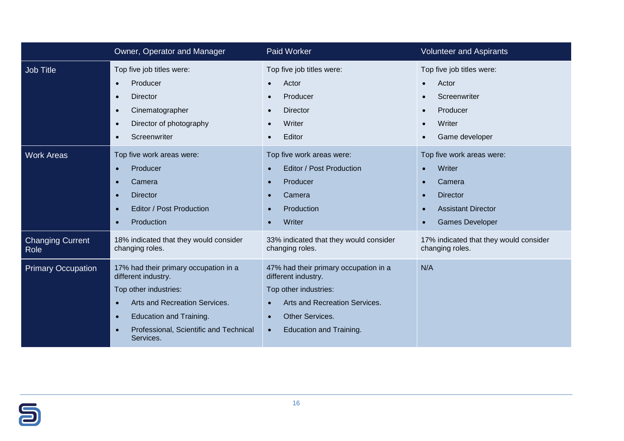|                                 | Owner, Operator and Manager                                                                                                                                                                                                                            | <b>Paid Worker</b>                                                                                                                                                                                    | <b>Volunteer and Aspirants</b>                                                                                          |
|---------------------------------|--------------------------------------------------------------------------------------------------------------------------------------------------------------------------------------------------------------------------------------------------------|-------------------------------------------------------------------------------------------------------------------------------------------------------------------------------------------------------|-------------------------------------------------------------------------------------------------------------------------|
| Job Title                       | Top five job titles were:<br>Producer<br>$\bullet$<br><b>Director</b><br>$\bullet$<br>Cinematographer<br>$\bullet$<br>Director of photography<br>$\bullet$<br>Screenwriter<br>$\bullet$                                                                | Top five job titles were:<br>Actor<br>Producer<br><b>Director</b><br>$\bullet$<br>Writer<br>Editor                                                                                                    | Top five job titles were:<br>Actor<br>Screenwriter<br>Producer<br>$\bullet$<br>Writer<br>Game developer                 |
| <b>Work Areas</b>               | Top five work areas were:<br>Producer<br>$\bullet$<br>Camera<br>$\bullet$<br><b>Director</b><br>$\bullet$<br>Editor / Post Production<br>$\bullet$<br>Production<br>$\bullet$                                                                          | Top five work areas were:<br>Editor / Post Production<br>Producer<br>$\bullet$<br>Camera<br>$\bullet$<br>Production<br>Writer                                                                         | Top five work areas were:<br>Writer<br>Camera<br><b>Director</b><br><b>Assistant Director</b><br><b>Games Developer</b> |
| <b>Changing Current</b><br>Role | 18% indicated that they would consider<br>changing roles.                                                                                                                                                                                              | 33% indicated that they would consider<br>changing roles.                                                                                                                                             | 17% indicated that they would consider<br>changing roles.                                                               |
| <b>Primary Occupation</b>       | 17% had their primary occupation in a<br>different industry.<br>Top other industries:<br>Arts and Recreation Services.<br>$\bullet$<br><b>Education and Training.</b><br>$\bullet$<br>Professional, Scientific and Technical<br>$\bullet$<br>Services. | 47% had their primary occupation in a<br>different industry.<br>Top other industries:<br>Arts and Recreation Services.<br>Other Services.<br>$\bullet$<br><b>Education and Training.</b><br>$\bullet$ | N/A                                                                                                                     |

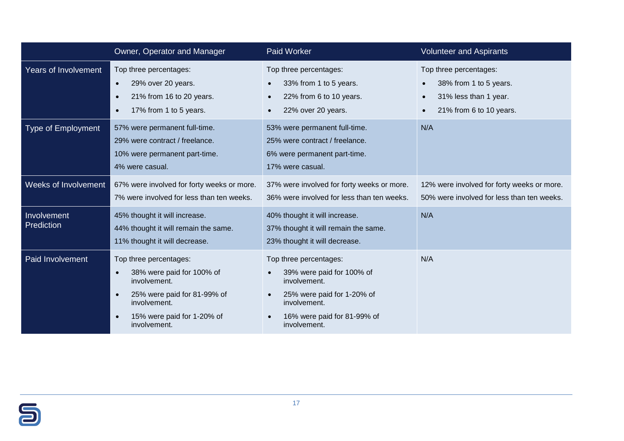|                           | Owner, Operator and Manager                                                                                                                                                                | <b>Paid Worker</b>                                                                                                                                               | <b>Volunteer and Aspirants</b>                                                                       |
|---------------------------|--------------------------------------------------------------------------------------------------------------------------------------------------------------------------------------------|------------------------------------------------------------------------------------------------------------------------------------------------------------------|------------------------------------------------------------------------------------------------------|
| Years of Involvement      | Top three percentages:<br>29% over 20 years.<br>$\bullet$<br>21% from 16 to 20 years.<br>$\bullet$<br>17% from 1 to 5 years.<br>$\bullet$                                                  | Top three percentages:<br>33% from 1 to 5 years.<br>22% from 6 to 10 years.<br>22% over 20 years.                                                                | Top three percentages:<br>38% from 1 to 5 years.<br>31% less than 1 year.<br>21% from 6 to 10 years. |
| <b>Type of Employment</b> | 57% were permanent full-time.<br>29% were contract / freelance.<br>10% were permanent part-time.<br>4% were casual.                                                                        | 53% were permanent full-time.<br>25% were contract / freelance.<br>6% were permanent part-time.<br>17% were casual.                                              | N/A                                                                                                  |
| Weeks of Involvement      | 67% were involved for forty weeks or more.<br>7% were involved for less than ten weeks.                                                                                                    | 37% were involved for forty weeks or more.<br>36% were involved for less than ten weeks.                                                                         | 12% were involved for forty weeks or more.<br>50% were involved for less than ten weeks.             |
| Involvement<br>Prediction | 45% thought it will increase.<br>44% thought it will remain the same.<br>11% thought it will decrease.                                                                                     | 40% thought it will increase.<br>37% thought it will remain the same.<br>23% thought it will decrease.                                                           | N/A                                                                                                  |
| Paid Involvement          | Top three percentages:<br>38% were paid for 100% of<br>involvement.<br>25% were paid for 81-99% of<br>$\bullet$<br>involvement.<br>15% were paid for 1-20% of<br>$\bullet$<br>involvement. | Top three percentages:<br>39% were paid for 100% of<br>involvement.<br>25% were paid for 1-20% of<br>involvement.<br>16% were paid for 81-99% of<br>involvement. | N/A                                                                                                  |

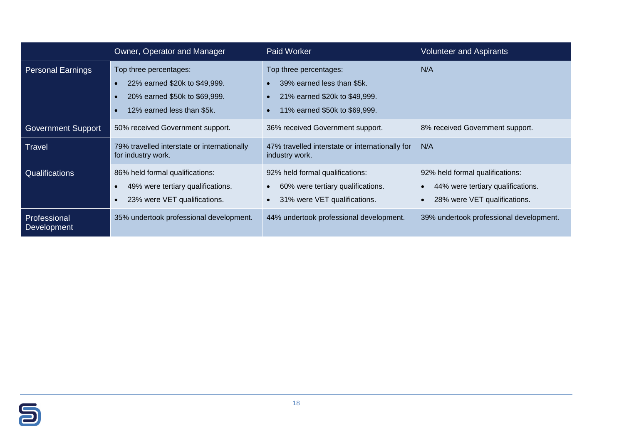|                             | <b>Owner, Operator and Manager</b>                                                                                     | <b>Paid Worker</b>                                                                                                                                            | <b>Volunteer and Aspirants</b>                                                                       |
|-----------------------------|------------------------------------------------------------------------------------------------------------------------|---------------------------------------------------------------------------------------------------------------------------------------------------------------|------------------------------------------------------------------------------------------------------|
| <b>Personal Earnings</b>    | Top three percentages:<br>22% earned \$20k to \$49,999.<br>20% earned \$50k to \$69,999.<br>12% earned less than \$5k. | Top three percentages:<br>39% earned less than \$5k.<br>$\bullet$<br>21% earned \$20k to \$49,999.<br>$\bullet$<br>11% earned \$50k to \$69,999.<br>$\bullet$ | N/A                                                                                                  |
| <b>Government Support</b>   | 50% received Government support.                                                                                       | 36% received Government support.                                                                                                                              | 8% received Government support.                                                                      |
| Travel                      | 79% travelled interstate or internationally<br>for industry work.                                                      | 47% travelled interstate or internationally for<br>industry work.                                                                                             | N/A                                                                                                  |
| Qualifications              | 86% held formal qualifications:<br>49% were tertiary qualifications.<br>23% were VET qualifications.                   | 92% held formal qualifications:<br>60% were tertiary qualifications.<br>$\bullet$<br>31% were VET qualifications.<br>$\bullet$                                | 92% held formal qualifications:<br>44% were tertiary qualifications.<br>28% were VET qualifications. |
| Professional<br>Development | 35% undertook professional development.                                                                                | 44% undertook professional development.                                                                                                                       | 39% undertook professional development.                                                              |

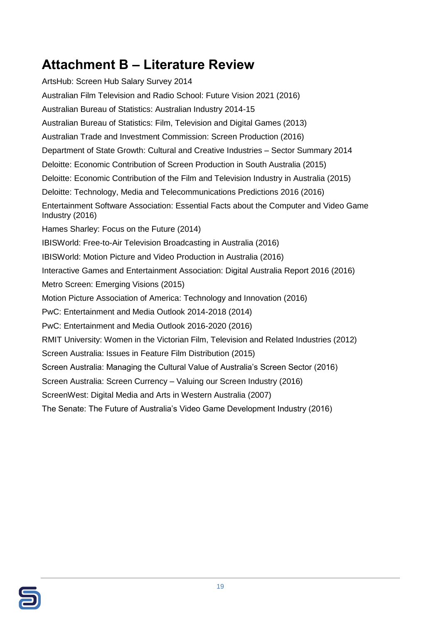## <span id="page-23-0"></span>**Attachment B – Literature Review**

ArtsHub: Screen Hub Salary Survey 2014 Australian Film Television and Radio School: Future Vision 2021 (2016) Australian Bureau of Statistics: Australian Industry 2014-15 Australian Bureau of Statistics: Film, Television and Digital Games (2013) Australian Trade and Investment Commission: Screen Production (2016) Department of State Growth: Cultural and Creative Industries – Sector Summary 2014 Deloitte: Economic Contribution of Screen Production in South Australia (2015) Deloitte: Economic Contribution of the Film and Television Industry in Australia (2015) Deloitte: Technology, Media and Telecommunications Predictions 2016 (2016) Entertainment Software Association: Essential Facts about the Computer and Video Game Industry (2016) Hames Sharley: Focus on the Future (2014) IBISWorld: Free-to-Air Television Broadcasting in Australia (2016) IBISWorld: Motion Picture and Video Production in Australia (2016) Interactive Games and Entertainment Association: Digital Australia Report 2016 (2016) Metro Screen: Emerging Visions (2015) Motion Picture Association of America: Technology and Innovation (2016) PwC: Entertainment and Media Outlook 2014-2018 (2014) PwC: Entertainment and Media Outlook 2016-2020 (2016) RMIT University: Women in the Victorian Film, Television and Related Industries (2012) Screen Australia: Issues in Feature Film Distribution (2015) Screen Australia: Managing the Cultural Value of Australia's Screen Sector (2016) Screen Australia: Screen Currency – Valuing our Screen Industry (2016) ScreenWest: Digital Media and Arts in Western Australia (2007) The Senate: The Future of Australia's Video Game Development Industry (2016)

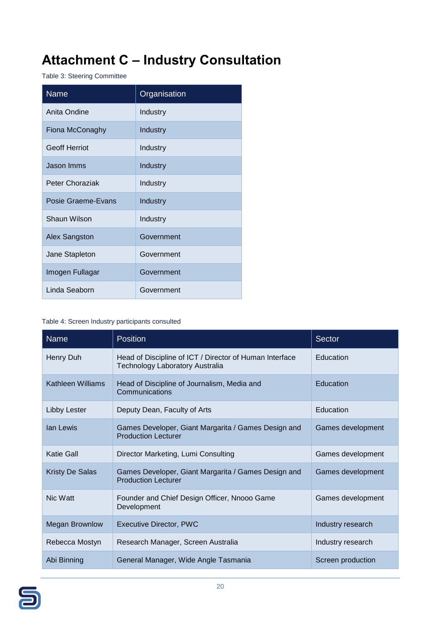## <span id="page-24-0"></span>**Attachment C – Industry Consultation**

Table 3: Steering Committee

| <b>Name</b>          | Organisation |
|----------------------|--------------|
| Anita Ondine         | Industry     |
| Fiona McConaghy      | Industry     |
| <b>Geoff Herriot</b> | Industry     |
| Jason Imms           | Industry     |
| Peter Choraziak      | Industry     |
| Posie Graeme-Evans   | Industry     |
| Shaun Wilson         | Industry     |
| Alex Sangston        | Government   |
| Jane Stapleton       | Government   |
| Imogen Fullagar      | Government   |
| Linda Seaborn        | Government   |

#### Table 4: Screen Industry participants consulted

| <b>Name</b>            | <b>Position</b>                                                                                   | <b>Sector</b>     |
|------------------------|---------------------------------------------------------------------------------------------------|-------------------|
| Henry Duh              | Head of Discipline of ICT / Director of Human Interface<br><b>Technology Laboratory Australia</b> | Education         |
| Kathleen Williams      | Head of Discipline of Journalism, Media and<br>Communications                                     | Education         |
| <b>Libby Lester</b>    | Deputy Dean, Faculty of Arts                                                                      | Education         |
| lan Lewis              | Games Developer, Giant Margarita / Games Design and<br><b>Production Lecturer</b>                 | Games development |
| Katie Gall             | Director Marketing, Lumi Consulting                                                               | Games development |
| <b>Kristy De Salas</b> | Games Developer, Giant Margarita / Games Design and<br><b>Production Lecturer</b>                 | Games development |
| Nic Watt               | Founder and Chief Design Officer, Nnooo Game<br>Development                                       | Games development |
| <b>Megan Brownlow</b>  | <b>Executive Director, PWC</b>                                                                    | Industry research |
| Rebecca Mostyn         | Research Manager, Screen Australia                                                                | Industry research |
| Abi Binning            | General Manager, Wide Angle Tasmania                                                              | Screen production |

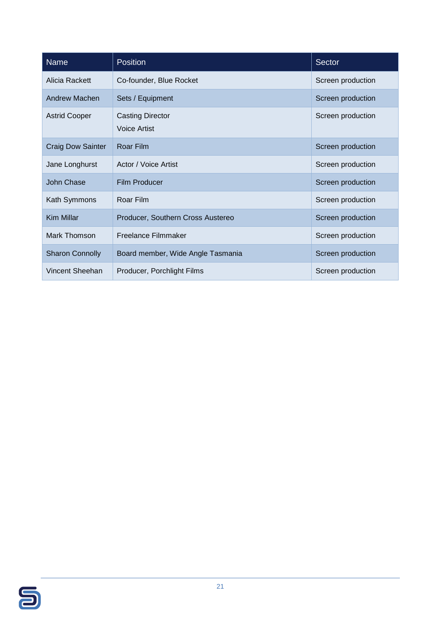| <b>Name</b>              | <b>Position</b>                                | <b>Sector</b>     |
|--------------------------|------------------------------------------------|-------------------|
| Alicia Rackett           | Co-founder, Blue Rocket                        | Screen production |
| Andrew Machen            | Sets / Equipment                               | Screen production |
| <b>Astrid Cooper</b>     | <b>Casting Director</b><br><b>Voice Artist</b> | Screen production |
| <b>Craig Dow Sainter</b> | Roar Film                                      | Screen production |
| Jane Longhurst           | Actor / Voice Artist                           | Screen production |
| John Chase               | Film Producer                                  | Screen production |
| Kath Symmons             | Roar Film                                      | Screen production |
| Kim Millar               | Producer, Southern Cross Austereo              | Screen production |
| Mark Thomson             | Freelance Filmmaker                            | Screen production |
| <b>Sharon Connolly</b>   | Board member, Wide Angle Tasmania              | Screen production |
| Vincent Sheehan          | Producer, Porchlight Films                     | Screen production |

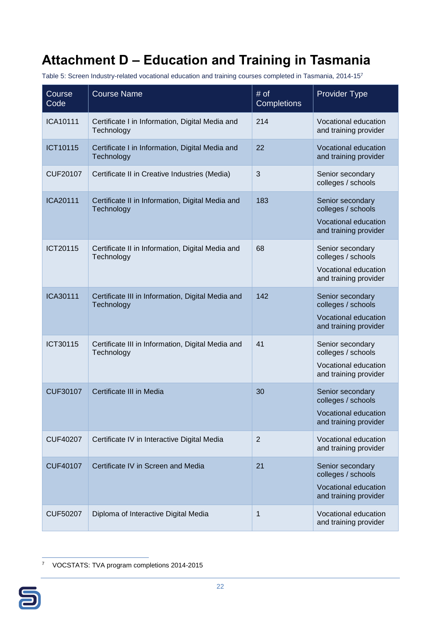## <span id="page-26-0"></span>**Attachment D – Education and Training in Tasmania**

Table 5: Screen Industry-related vocational education and training courses completed in Tasmania, 2014-15<sup>7</sup>

| Course<br>Code  | <b>Course Name</b>                                              | # of<br><b>Completions</b> | <b>Provider Type</b>                                                                    |
|-----------------|-----------------------------------------------------------------|----------------------------|-----------------------------------------------------------------------------------------|
| <b>ICA10111</b> | Certificate I in Information, Digital Media and<br>Technology   | 214                        | Vocational education<br>and training provider                                           |
| ICT10115        | Certificate I in Information, Digital Media and<br>Technology   | 22                         | Vocational education<br>and training provider                                           |
| <b>CUF20107</b> | Certificate II in Creative Industries (Media)                   | 3                          | Senior secondary<br>colleges / schools                                                  |
| <b>ICA20111</b> | Certificate II in Information, Digital Media and<br>Technology  | 183                        | Senior secondary<br>colleges / schools<br>Vocational education<br>and training provider |
| ICT20115        | Certificate II in Information, Digital Media and<br>Technology  | 68                         | Senior secondary<br>colleges / schools<br>Vocational education<br>and training provider |
| <b>ICA30111</b> | Certificate III in Information, Digital Media and<br>Technology | 142                        | Senior secondary<br>colleges / schools<br>Vocational education<br>and training provider |
| ICT30115        | Certificate III in Information, Digital Media and<br>Technology | 41                         | Senior secondary<br>colleges / schools<br>Vocational education<br>and training provider |
| <b>CUF30107</b> | Certificate III in Media                                        | 30                         | Senior secondary<br>colleges / schools<br>Vocational education<br>and training provider |
| <b>CUF40207</b> | Certificate IV in Interactive Digital Media                     | $\overline{2}$             | Vocational education<br>and training provider                                           |
| <b>CUF40107</b> | Certificate IV in Screen and Media                              | 21                         | Senior secondary<br>colleges / schools<br>Vocational education<br>and training provider |
| <b>CUF50207</b> | Diploma of Interactive Digital Media                            | 1                          | Vocational education<br>and training provider                                           |

 $\overline{a}$ <sup>7</sup> VOCSTATS: TVA program completions 2014-2015